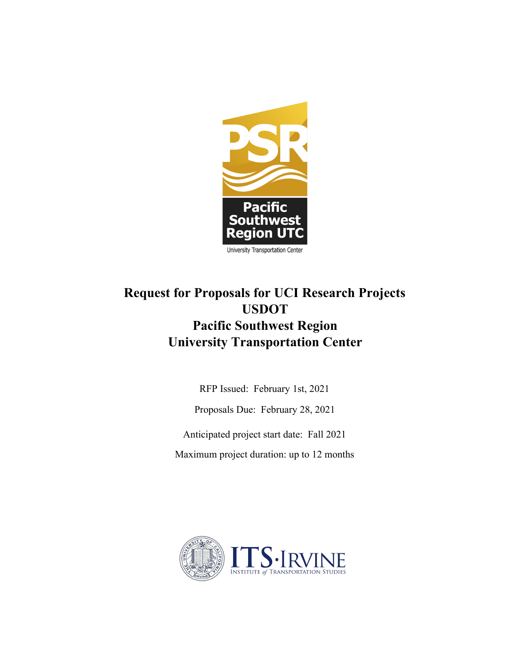

# **Request for Proposals for UCI Research Projects USDOT Pacific Southwest Region University Transportation Center**

RFP Issued: February 1st, 2021

Proposals Due: February 28, 2021

Anticipated project start date: Fall 2021

Maximum project duration: up to 12 months

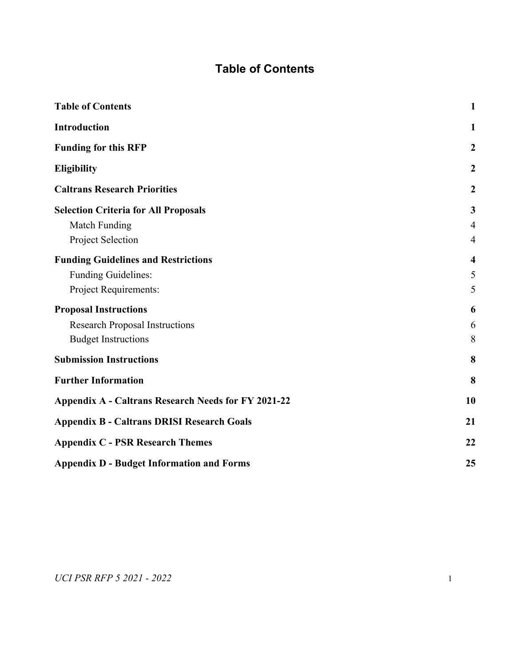# **Table of Contents**

<span id="page-1-1"></span><span id="page-1-0"></span>

| <b>Table of Contents</b>                                   | $\mathbf{1}$        |
|------------------------------------------------------------|---------------------|
| Introduction                                               | 1                   |
| <b>Funding for this RFP</b>                                | $\boldsymbol{2}$    |
| <b>Eligibility</b>                                         | $\boldsymbol{2}$    |
| <b>Caltrans Research Priorities</b>                        | $\boldsymbol{2}$    |
| <b>Selection Criteria for All Proposals</b>                | 3                   |
| Match Funding                                              | $\overline{4}$      |
| Project Selection                                          | $\overline{4}$      |
| <b>Funding Guidelines and Restrictions</b>                 | $\overline{\bf{4}}$ |
| <b>Funding Guidelines:</b>                                 | 5                   |
| Project Requirements:                                      | 5                   |
| <b>Proposal Instructions</b>                               | 6                   |
| <b>Research Proposal Instructions</b>                      | 6                   |
| <b>Budget Instructions</b>                                 | 8                   |
| <b>Submission Instructions</b>                             | 8                   |
| <b>Further Information</b>                                 | 8                   |
| <b>Appendix A - Caltrans Research Needs for FY 2021-22</b> | 10                  |
| <b>Appendix B - Caltrans DRISI Research Goals</b>          |                     |
| <b>Appendix C - PSR Research Themes</b>                    |                     |
| <b>Appendix D - Budget Information and Forms</b>           | 25                  |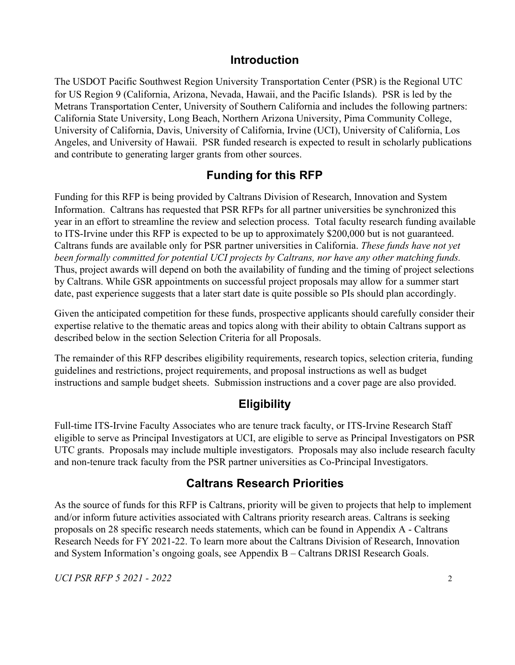### **Introduction**

The USDOT Pacific Southwest Region University Transportation Center (PSR) is the Regional UTC for US Region 9 (California, Arizona, Nevada, Hawaii, and the Pacific Islands). PSR is led by the Metrans Transportation Center, University of Southern California and includes the following partners: California State University, Long Beach, Northern Arizona University, Pima Community College, University of California, Davis, University of California, Irvine (UCI), University of California, Los Angeles, and University of Hawaii. PSR funded research is expected to result in scholarly publications and contribute to generating larger grants from other sources.

### **Funding for this RFP**

<span id="page-2-0"></span>Funding for this RFP is being provided by Caltrans Division of Research, Innovation and System Information. Caltrans has requested that PSR RFPs for all partner universities be synchronized this year in an effort to streamline the review and selection process. Total faculty research funding available to ITS-Irvine under this RFP is expected to be up to approximately \$200,000 but is not guaranteed. Caltrans funds are available only for PSR partner universities in California. *These funds have not yet been formally committed for potential UCI projects by Caltrans, nor have any other matching funds.* Thus, project awards will depend on both the availability of funding and the timing of project selections by Caltrans. While GSR appointments on successful project proposals may allow for a summer start date, past experience suggests that a later start date is quite possible so PIs should plan accordingly.

Given the anticipated competition for these funds, prospective applicants should carefully consider their expertise relative to the thematic areas and topics along with their ability to obtain Caltrans support as described below in the section Selection Criteria for all Proposals.

The remainder of this RFP describes eligibility requirements, research topics, selection criteria, funding guidelines and restrictions, project requirements, and proposal instructions as well as budget instructions and sample budget sheets. Submission instructions and a cover page are also provided.

## **Eligibility**

<span id="page-2-1"></span>Full-time ITS-Irvine Faculty Associates who are tenure track faculty, or ITS-Irvine Research Staff eligible to serve as Principal Investigators at UCI, are eligible to serve as Principal Investigators on PSR UTC grants. Proposals may include multiple investigators. Proposals may also include research faculty and non-tenure track faculty from the PSR partner universities as Co-Principal Investigators.

### **Caltrans Research Priorities**

<span id="page-2-2"></span>As the source of funds for this RFP is Caltrans, priority will be given to projects that help to implement and/or inform future activities associated with Caltrans priority research areas. Caltrans is seeking proposals on 28 specific research needs statements, which can be found in Appendix A - Caltrans Research Needs for FY 2021-22. To learn more about the Caltrans Division of Research, Innovation and System Information's ongoing goals, see Appendix B – Caltrans DRISI Research Goals.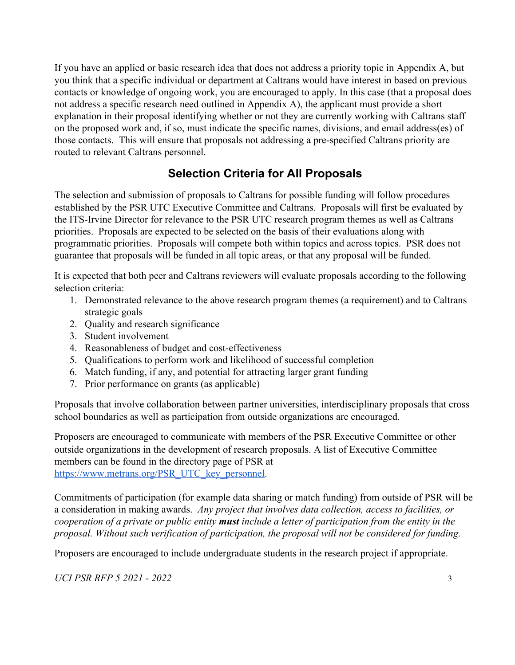If you have an applied or basic research idea that does not address a priority topic in Appendix A, but you think that a specific individual or department at Caltrans would have interest in based on previous contacts or knowledge of ongoing work, you are encouraged to apply. In this case (that a proposal does not address a specific research need outlined in Appendix A), the applicant must provide a short explanation in their proposal identifying whether or not they are currently working with Caltrans staff on the proposed work and, if so, must indicate the specific names, divisions, and email address(es) of those contacts. This will ensure that proposals not addressing a pre-specified Caltrans priority are routed to relevant Caltrans personnel.

## **Selection Criteria for All Proposals**

<span id="page-3-0"></span>The selection and submission of proposals to Caltrans for possible funding will follow procedures established by the PSR UTC Executive Committee and Caltrans. Proposals will first be evaluated by the ITS-Irvine Director for relevance to the PSR UTC research program themes as well as Caltrans priorities. Proposals are expected to be selected on the basis of their evaluations along with programmatic priorities. Proposals will compete both within topics and across topics. PSR does not guarantee that proposals will be funded in all topic areas, or that any proposal will be funded.

It is expected that both peer and Caltrans reviewers will evaluate proposals according to the following selection criteria:

- 1. Demonstrated relevance to the above research program themes (a requirement) and to Caltrans strategic goals
- 2. Quality and research significance
- 3. Student involvement
- 4. Reasonableness of budget and cost-effectiveness
- 5. Qualifications to perform work and likelihood of successful completion
- 6. Match funding, if any, and potential for attracting larger grant funding
- 7. Prior performance on grants (as applicable)

Proposals that involve collaboration between partner universities, interdisciplinary proposals that cross school boundaries as well as participation from outside organizations are encouraged.

Proposers are encouraged to communicate with members of the PSR Executive Committee or other outside organizations in the development of research proposals. A list of Executive Committee members can be found in the directory page of PSR at [https://www.metrans.org/PSR\\_UTC\\_key\\_personnel.](https://www.metrans.org/PSR_UTC_key_personnel)

Commitments of participation (for example data sharing or match funding) from outside of PSR will be a consideration in making awards. *Any project that involves data collection, access to facilities, or cooperation of a private or public entity must include a letter of participation from the entity in the proposal. Without such verification of participation, the proposal will not be considered for funding.*

Proposers are encouraged to include undergraduate students in the research project if appropriate.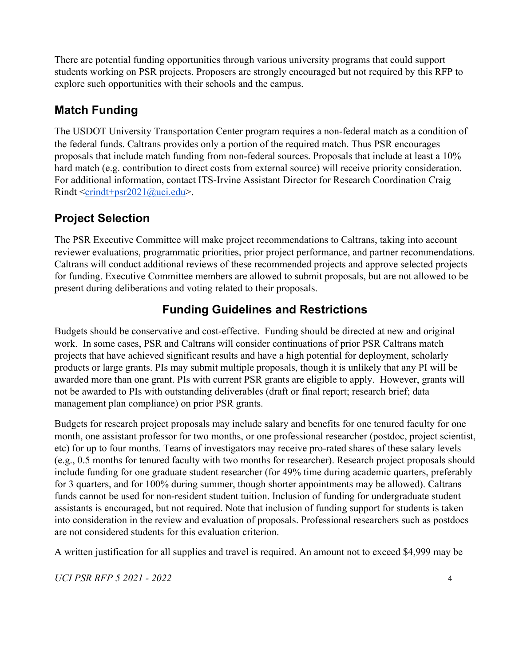There are potential funding opportunities through various university programs that could support students working on PSR projects. Proposers are strongly encouraged but not required by this RFP to explore such opportunities with their schools and the campus.

# <span id="page-4-0"></span>**Match Funding**

The USDOT University Transportation Center program requires a non-federal match as a condition of the federal funds. Caltrans provides only a portion of the required match. Thus PSR encourages proposals that include match funding from non-federal sources. Proposals that include at least a 10% hard match (e.g. contribution to direct costs from external source) will receive priority consideration. For additional information, contact ITS-Irvine Assistant Director for Research Coordination Craig Rindt  $\leq$ crindt+psr2021@uci.edu>.

# <span id="page-4-1"></span>**Project Selection**

The PSR Executive Committee will make project recommendations to Caltrans, taking into account reviewer evaluations, programmatic priorities, prior project performance, and partner recommendations. Caltrans will conduct additional reviews of these recommended projects and approve selected projects for funding. Executive Committee members are allowed to submit proposals, but are not allowed to be present during deliberations and voting related to their proposals.

## **Funding Guidelines and Restrictions**

<span id="page-4-2"></span>Budgets should be conservative and cost-effective. Funding should be directed at new and original work. In some cases, PSR and Caltrans will consider continuations of prior PSR Caltrans match projects that have achieved significant results and have a high potential for deployment, scholarly products or large grants. PIs may submit multiple proposals, though it is unlikely that any PI will be awarded more than one grant. PIs with current PSR grants are eligible to apply. However, grants will not be awarded to PIs with outstanding deliverables (draft or final report; research brief; data management plan compliance) on prior PSR grants.

Budgets for research project proposals may include salary and benefits for one tenured faculty for one month, one assistant professor for two months, or one professional researcher (postdoc, project scientist, etc) for up to four months. Teams of investigators may receive pro-rated shares of these salary levels (e.g., 0.5 months for tenured faculty with two months for researcher). Research project proposals should include funding for one graduate student researcher (for 49% time during academic quarters, preferably for 3 quarters, and for 100% during summer, though shorter appointments may be allowed). Caltrans funds cannot be used for non-resident student tuition. Inclusion of funding for undergraduate student assistants is encouraged, but not required. Note that inclusion of funding support for students is taken into consideration in the review and evaluation of proposals. Professional researchers such as postdocs are not considered students for this evaluation criterion.

A written justification for all supplies and travel is required. An amount not to exceed \$4,999 may be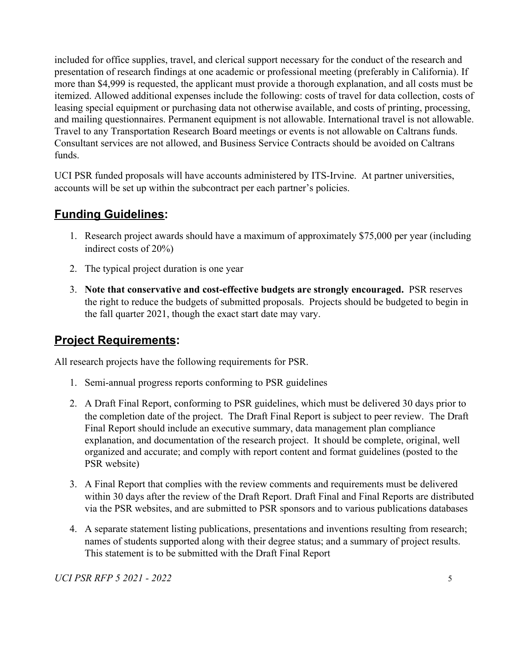included for office supplies, travel, and clerical support necessary for the conduct of the research and presentation of research findings at one academic or professional meeting (preferably in California). If more than \$4,999 is requested, the applicant must provide a thorough explanation, and all costs must be itemized. Allowed additional expenses include the following: costs of travel for data collection, costs of leasing special equipment or purchasing data not otherwise available, and costs of printing, processing, and mailing questionnaires. Permanent equipment is not allowable. International travel is not allowable. Travel to any Transportation Research Board meetings or events is not allowable on Caltrans funds. Consultant services are not allowed, and Business Service Contracts should be avoided on Caltrans funds.

UCI PSR funded proposals will have accounts administered by ITS-Irvine. At partner universities, accounts will be set up within the subcontract per each partner's policies.

### <span id="page-5-0"></span>**Funding Guidelines:**

- 1. Research project awards should have a maximum of approximately \$75,000 per year (including indirect costs of 20%)
- 2. The typical project duration is one year
- 3. **Note that conservative and cost-effective budgets are strongly encouraged.** PSR reserves the right to reduce the budgets of submitted proposals. Projects should be budgeted to begin in the fall quarter 2021, though the exact start date may vary.

## <span id="page-5-1"></span>**Project Requirements:**

All research projects have the following requirements for PSR.

- 1. Semi-annual progress reports conforming to PSR guidelines
- 2. A Draft Final Report, conforming to PSR guidelines, which must be delivered 30 days prior to the completion date of the project. The Draft Final Report is subject to peer review. The Draft Final Report should include an executive summary, data management plan compliance explanation, and documentation of the research project. It should be complete, original, well organized and accurate; and comply with report content and format guidelines (posted to the PSR website)
- 3. A Final Report that complies with the review comments and requirements must be delivered within 30 days after the review of the Draft Report. Draft Final and Final Reports are distributed via the PSR websites, and are submitted to PSR sponsors and to various publications databases
- 4. A separate statement listing publications, presentations and inventions resulting from research; names of students supported along with their degree status; and a summary of project results. This statement is to be submitted with the Draft Final Report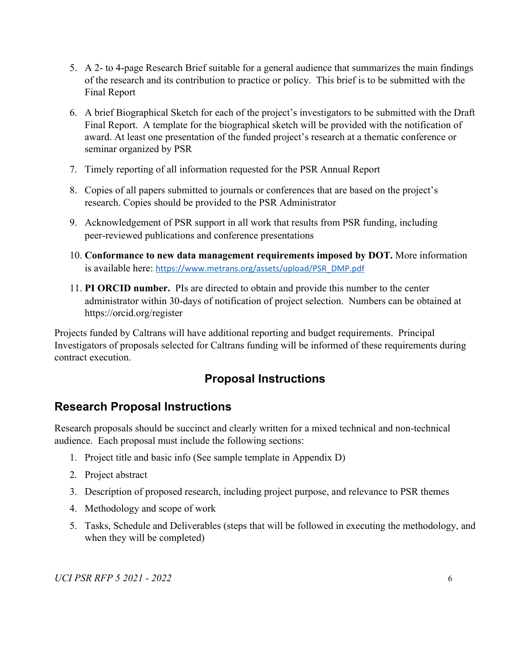- 5. A 2- to 4-page Research Brief suitable for a general audience that summarizes the main findings of the research and its contribution to practice or policy. This brief is to be submitted with the Final Report
- 6. A brief Biographical Sketch for each of the project's investigators to be submitted with the Draft Final Report. A template for the biographical sketch will be provided with the notification of award. At least one presentation of the funded project's research at a thematic conference or seminar organized by PSR
- 7. Timely reporting of all information requested for the PSR Annual Report
- 8. Copies of all papers submitted to journals or conferences that are based on the project's research. Copies should be provided to the PSR Administrator
- 9. Acknowledgement of PSR support in all work that results from PSR funding, including peer-reviewed publications and conference presentations
- 10. **Conformance to new data management requirements imposed by DOT.** More information is available here: [https://www.metrans.org/assets/upload/PSR\\_DMP.pdf](https://www.metrans.org/assets/upload/PSR_DMP.pdf)
- 11. **PI ORCID number.** PIs are directed to obtain and provide this number to the center administrator within 30-days of notification of project selection. Numbers can be obtained at https://orcid.org/register

<span id="page-6-0"></span>Projects funded by Caltrans will have additional reporting and budget requirements. Principal Investigators of proposals selected for Caltrans funding will be informed of these requirements during contract execution.

## **Proposal Instructions**

### <span id="page-6-1"></span>**Research Proposal Instructions**

Research proposals should be succinct and clearly written for a mixed technical and non-technical audience. Each proposal must include the following sections:

- 1. Project title and basic info (See sample template in Appendix D)
- 2. Project abstract
- 3. Description of proposed research, including project purpose, and relevance to PSR themes
- 4. Methodology and scope of work
- 5. Tasks, Schedule and Deliverables (steps that will be followed in executing the methodology, and when they will be completed)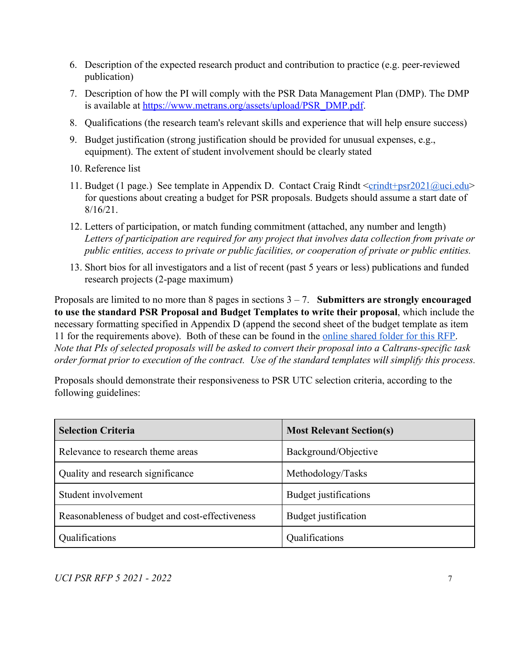- 6. Description of the expected research product and contribution to practice (e.g. peer-reviewed publication)
- 7. Description of how the PI will comply with the PSR Data Management Plan (DMP). The DMP is available at [https://www.metrans.org/assets/upload/PSR\\_DMP.pdf](https://www.metrans.org/assets/upload/PSR_DMP.pdf).
- 8. Qualifications (the research team's relevant skills and experience that will help ensure success)
- 9. Budget justification (strong justification should be provided for unusual expenses, e.g., equipment). The extent of student involvement should be clearly stated
- 10. Reference list
- 11. Budget (1 page.) See template in Appendix D. Contact Craig Rindt  $\langle$ [crindt+psr2021@uci.edu>](mailto:crindt@uci.edu) for questions about creating a budget for PSR proposals. Budgets should assume a start date of 8/16/21.
- 12. Letters of participation, or match funding commitment (attached, any number and length) *Letters of participation are required for any project that involves data collection from private or public entities, access to private or public facilities, or cooperation of private or public entities.*
- 13. Short bios for all investigators and a list of recent (past 5 years or less) publications and funded research projects (2-page maximum)

Proposals are limited to no more than 8 pages in sections 3 – 7. **Submitters are strongly encouraged to use the standard PSR Proposal and Budget Templates to write their proposal**, which include the necessary formatting specified in Appendix D (append the second sheet of the budget template as item 11 for the requirements above). Both of these can be found in the [online shared folder for this RFP.](https://drive.google.com/drive/folders/1H2PeWdliW7H6fmzn4PPfAgRMWzcc0k2z?usp=sharing) *Note that PIs of selected proposals will be asked to convert their proposal into a Caltrans-specific task order format prior to execution of the contract. Use of the standard templates will simplify this process.*

Proposals should demonstrate their responsiveness to PSR UTC selection criteria, according to the following guidelines:

| <b>Selection Criteria</b>                       | <b>Most Relevant Section(s)</b> |
|-------------------------------------------------|---------------------------------|
| Relevance to research theme areas               | Background/Objective            |
| Quality and research significance               | Methodology/Tasks               |
| Student involvement                             | Budget justifications           |
| Reasonableness of budget and cost-effectiveness | Budget justification            |
| Qualifications                                  | Qualifications                  |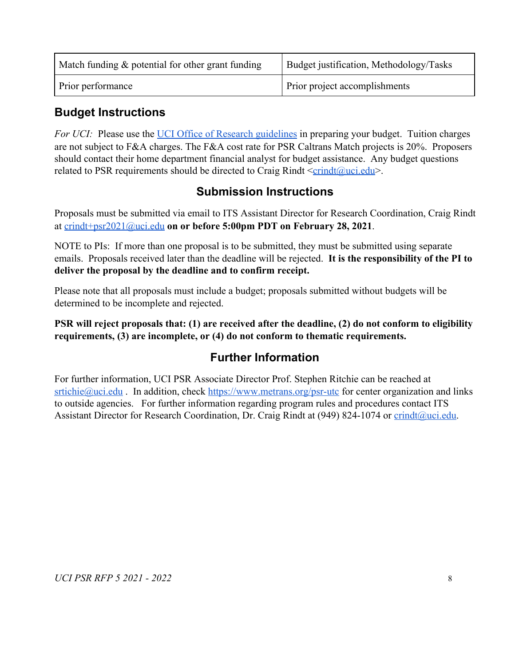| Match funding $\&$ potential for other grant funding | Budget justification, Methodology/Tasks |
|------------------------------------------------------|-----------------------------------------|
| Prior performance                                    | Prior project accomplishments           |

### <span id="page-8-0"></span>**Budget Instructions**

*For UCI:* Please use the [UCI Office of Research guidelines](http://www.research.uci.edu/sponsored-projects/contracts-grants-admin/proposal-prep/budget-general-info.html) in preparing your budget. Tuition charges are not subject to F&A charges. The F&A cost rate for PSR Caltrans Match projects is 20%. Proposers should contact their home department financial analyst for budget assistance. Any budget questions related to PSR requirements should be directed to Craig Rindt  $\leq$ crindt $@$ uci.edu>.

### **Submission Instructions**

<span id="page-8-1"></span>Proposals must be submitted via email to ITS Assistant Director for Research Coordination, Craig Rindt at [crindt+psr2021@uci.edu](mailto:crindt@uci.edu) **on or before 5:00pm PDT on February 28, 2021**.

NOTE to PIs: If more than one proposal is to be submitted, they must be submitted using separate emails. Proposals received later than the deadline will be rejected. **It is the responsibility of the PI to deliver the proposal by the deadline and to confirm receipt.**

Please note that all proposals must include a budget; proposals submitted without budgets will be determined to be incomplete and rejected.

### <span id="page-8-2"></span>**PSR will reject proposals that: (1) are received after the deadline, (2) do not conform to eligibility requirements, (3) are incomplete, or (4) do not conform to thematic requirements.**

## **Further Information**

For further information, UCI PSR Associate Director Prof. Stephen Ritchie can be reached at  $srtichie@uci.edu$ . In addition, check <https://www.metrans.org/psr-utc>for center organization and links to outside agencies. For further information regarding program rules and procedures contact ITS Assistant Director for Research Coordination, Dr. Craig Rindt at (949) 824-1074 or [crindt@uci.edu.](mailto:crindt@uci.edu)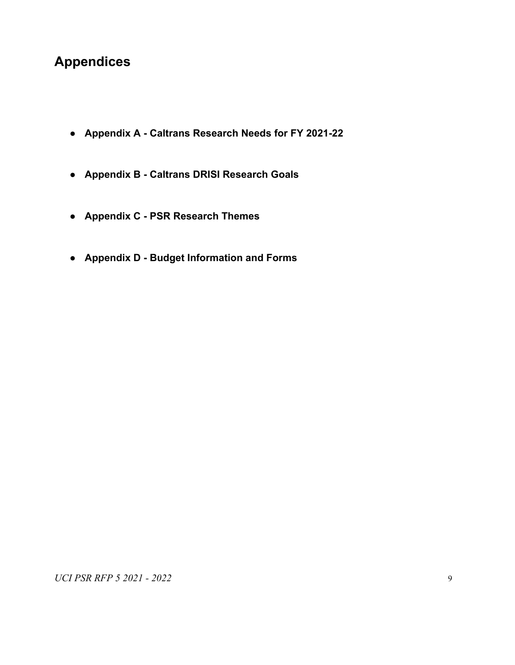# **Appendices**

- **● Appendix A Caltrans Research Needs for FY 2021-22**
- **● Appendix B Caltrans DRISI Research Goals**
- **● Appendix C PSR Research Themes**
- **● Appendix D Budget Information and Forms**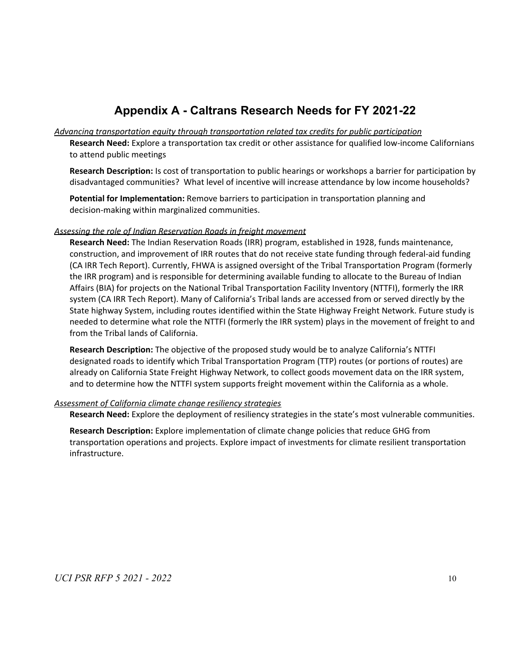## **Appendix A - Caltrans Research Needs for FY 2021-22**

#### <span id="page-10-0"></span>*Advancing transportation equity through transportation related tax credits for public participation*

**Research Need:** Explore a transportation tax credit or other assistance for qualified low-income Californians to attend public meetings

**Research Description:** Is cost of transportation to public hearings or workshops a barrier for participation by disadvantaged communities? What level of incentive will increase attendance by low income households?

**Potential for Implementation:** Remove barriers to participation in transportation planning and decision-making within marginalized communities.

#### *Assessing the role of Indian Reservation Roads in freight movement*

**Research Need:** The Indian Reservation Roads (IRR) program, established in 1928, funds maintenance, construction, and improvement of IRR routes that do not receive state funding through federal-aid funding (CA IRR Tech Report). Currently, FHWA is assigned oversight of the Tribal Transportation Program (formerly the IRR program) and is responsible for determining available funding to allocate to the Bureau of Indian Affairs (BIA) for projects on the National Tribal Transportation Facility Inventory (NTTFI), formerly the IRR system (CA IRR Tech Report). Many of California's Tribal lands are accessed from or served directly by the State highway System, including routes identified within the State Highway Freight Network. Future study is needed to determine what role the NTTFI (formerly the IRR system) plays in the movement of freight to and from the Tribal lands of California.

**Research Description:** The objective of the proposed study would be to analyze California's NTTFI designated roads to identify which Tribal Transportation Program (TTP) routes (or portions of routes) are already on California State Freight Highway Network, to collect goods movement data on the IRR system, and to determine how the NTTFI system supports freight movement within the California as a whole.

#### *Assessment of California climate change resiliency strategies*

**Research Need:** Explore the deployment of resiliency strategies in the state's most vulnerable communities.

**Research Description:** Explore implementation of climate change policies that reduce GHG from transportation operations and projects. Explore impact of investments for climate resilient transportation infrastructure.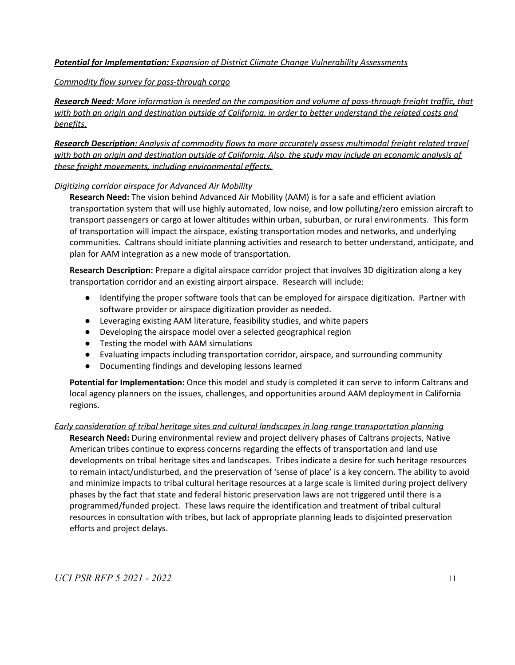#### *Potential for Implementation: Expansion of District Climate Change Vulnerability Assessments*

#### *Commodity flow survey for pass-through cargo*

*Research Need: More information is needed on the composition and volume of pass-through freight traffic, that* with both an origin and destination outside of California, in order to better understand the related costs and *benefits.*

*Research Description: Analysis of commodity flows to more accurately assess multimodal freight related travel* with both an origin and destination outside of California. Also, the study may include an economic analysis of *these freight movements, including environmental effects.*

#### *Digitizing corridor airspace for Advanced Air Mobility*

**Research Need:** The vision behind Advanced Air Mobility (AAM) is for a safe and efficient aviation transportation system that will use highly automated, low noise, and low polluting/zero emission aircraft to transport passengers or cargo at lower altitudes within urban, suburban, or rural environments. This form of transportation will impact the airspace, existing transportation modes and networks, and underlying communities. Caltrans should initiate planning activities and research to better understand, anticipate, and plan for AAM integration as a new mode of transportation.

**Research Description:** Prepare a digital airspace corridor project that involves 3D digitization along a key transportation corridor and an existing airport airspace. Research will include:

- Identifying the proper software tools that can be employed for airspace digitization. Partner with software provider or airspace digitization provider as needed.
- Leveraging existing AAM literature, feasibility studies, and white papers
- Developing the airspace model over a selected geographical region
- Testing the model with AAM simulations
- Evaluating impacts including transportation corridor, airspace, and surrounding community
- Documenting findings and developing lessons learned

**Potential for Implementation:** Once this model and study is completed it can serve to inform Caltrans and local agency planners on the issues, challenges, and opportunities around AAM deployment in California regions.

#### *Early consideration of tribal heritage sites and cultural landscapes in long range transportation planning*

**Research Need:** During environmental review and project delivery phases of Caltrans projects, Native American tribes continue to express concerns regarding the effects of transportation and land use developments on tribal heritage sites and landscapes. Tribes indicate a desire for such heritage resources to remain intact/undisturbed, and the preservation of 'sense of place' is a key concern. The ability to avoid and minimize impacts to tribal cultural heritage resources at a large scale is limited during project delivery phases by the fact that state and federal historic preservation laws are not triggered until there is a programmed/funded project. These laws require the identification and treatment of tribal cultural resources in consultation with tribes, but lack of appropriate planning leads to disjointed preservation efforts and project delays.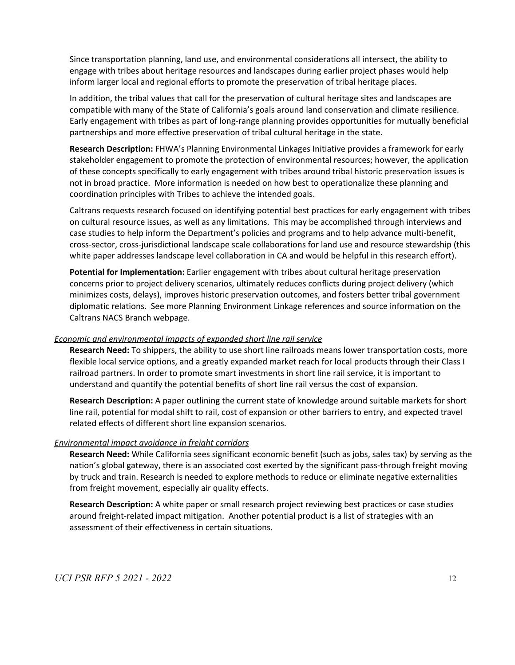Since transportation planning, land use, and environmental considerations all intersect, the ability to engage with tribes about heritage resources and landscapes during earlier project phases would help inform larger local and regional efforts to promote the preservation of tribal heritage places.

In addition, the tribal values that call for the preservation of cultural heritage sites and landscapes are compatible with many of the State of California's goals around land conservation and climate resilience. Early engagement with tribes as part of long-range planning provides opportunities for mutually beneficial partnerships and more effective preservation of tribal cultural heritage in the state.

**Research Description:** FHWA's Planning Environmental Linkages Initiative provides a framework for early stakeholder engagement to promote the protection of environmental resources; however, the application of these concepts specifically to early engagement with tribes around tribal historic preservation issues is not in broad practice. More information is needed on how best to operationalize these planning and coordination principles with Tribes to achieve the intended goals.

Caltrans requests research focused on identifying potential best practices for early engagement with tribes on cultural resource issues, as well as any limitations. This may be accomplished through interviews and case studies to help inform the Department's policies and programs and to help advance multi-benefit, cross-sector, cross-jurisdictional landscape scale collaborations for land use and resource stewardship (this white paper addresses landscape level collaboration in CA and would be helpful in this research effort).

**Potential for Implementation:** Earlier engagement with tribes about cultural heritage preservation concerns prior to project delivery scenarios, ultimately reduces conflicts during project delivery (which minimizes costs, delays), improves historic preservation outcomes, and fosters better tribal government diplomatic relations. See more Planning Environment Linkage references and source information on the Caltrans NACS Branch webpage.

#### *Economic and environmental impacts of expanded short line rail service*

**Research Need:** To shippers, the ability to use short line railroads means lower transportation costs, more flexible local service options, and a greatly expanded market reach for local products through their Class I railroad partners. In order to promote smart investments in short line rail service, it is important to understand and quantify the potential benefits of short line rail versus the cost of expansion.

**Research Description:** A paper outlining the current state of knowledge around suitable markets for short line rail, potential for modal shift to rail, cost of expansion or other barriers to entry, and expected travel related effects of different short line expansion scenarios.

#### *Environmental impact avoidance in freight corridors*

**Research Need:** While California sees significant economic benefit (such as jobs, sales tax) by serving as the nation's global gateway, there is an associated cost exerted by the significant pass-through freight moving by truck and train. Research is needed to explore methods to reduce or eliminate negative externalities from freight movement, especially air quality effects.

**Research Description:** A white paper or small research project reviewing best practices or case studies around freight-related impact mitigation. Another potential product is a list of strategies with an assessment of their effectiveness in certain situations.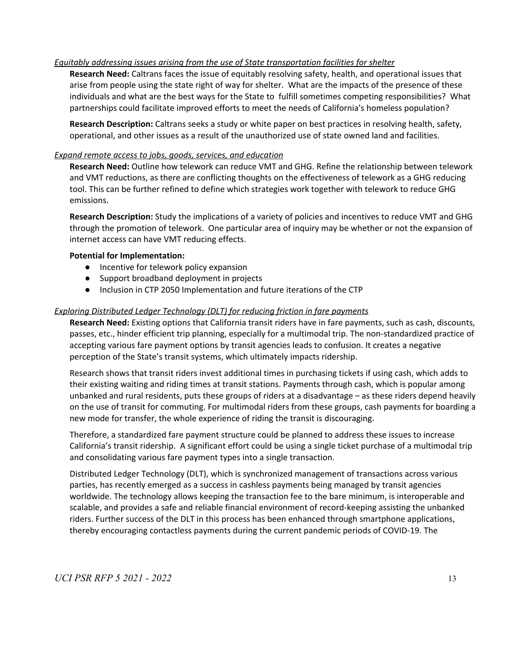#### *Equitably addressing issues arising from the use of State transportation facilities for shelter*

**Research Need:** Caltrans faces the issue of equitably resolving safety, health, and operational issues that arise from people using the state right of way for shelter. What are the impacts of the presence of these individuals and what are the best ways for the State to fulfill sometimes competing responsibilities? What partnerships could facilitate improved efforts to meet the needs of California's homeless population?

**Research Description:** Caltrans seeks a study or white paper on best practices in resolving health, safety, operational, and other issues as a result of the unauthorized use of state owned land and facilities.

#### *Expand remote access to jobs, goods, services, and education*

**Research Need:** Outline how telework can reduce VMT and GHG. Refine the relationship between telework and VMT reductions, as there are conflicting thoughts on the effectiveness of telework as a GHG reducing tool. This can be further refined to define which strategies work together with telework to reduce GHG emissions.

**Research Description:** Study the implications of a variety of policies and incentives to reduce VMT and GHG through the promotion of telework. One particular area of inquiry may be whether or not the expansion of internet access can have VMT reducing effects.

#### **Potential for Implementation:**

- Incentive for telework policy expansion
- Support broadband deployment in projects
- Inclusion in CTP 2050 Implementation and future iterations of the CTP

#### *Exploring Distributed Ledger Technology (DLT) for reducing friction in fare payments*

**Research Need:** Existing options that California transit riders have in fare payments, such as cash, discounts, passes, etc., hinder efficient trip planning, especially for a multimodal trip. The non-standardized practice of accepting various fare payment options by transit agencies leads to confusion. It creates a negative perception of the State's transit systems, which ultimately impacts ridership.

Research shows that transit riders invest additional times in purchasing tickets if using cash, which adds to their existing waiting and riding times at transit stations. Payments through cash, which is popular among unbanked and rural residents, puts these groups of riders at a disadvantage – as these riders depend heavily on the use of transit for commuting. For multimodal riders from these groups, cash payments for boarding a new mode for transfer, the whole experience of riding the transit is discouraging.

Therefore, a standardized fare payment structure could be planned to address these issues to increase California's transit ridership. A significant effort could be using a single ticket purchase of a multimodal trip and consolidating various fare payment types into a single transaction.

Distributed Ledger Technology (DLT), which is synchronized management of transactions across various parties, has recently emerged as a success in cashless payments being managed by transit agencies worldwide. The technology allows keeping the transaction fee to the bare minimum, is interoperable and scalable, and provides a safe and reliable financial environment of record-keeping assisting the unbanked riders. Further success of the DLT in this process has been enhanced through smartphone applications, thereby encouraging contactless payments during the current pandemic periods of COVID-19. The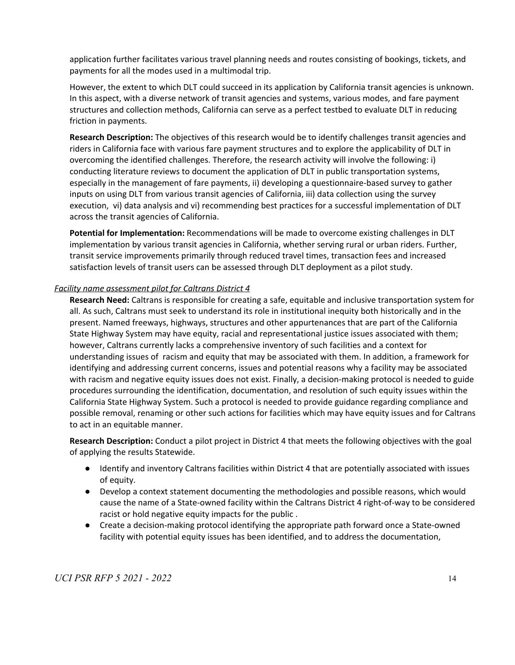application further facilitates various travel planning needs and routes consisting of bookings, tickets, and payments for all the modes used in a multimodal trip.

However, the extent to which DLT could succeed in its application by California transit agencies is unknown. In this aspect, with a diverse network of transit agencies and systems, various modes, and fare payment structures and collection methods, California can serve as a perfect testbed to evaluate DLT in reducing friction in payments.

**Research Description:** The objectives of this research would be to identify challenges transit agencies and riders in California face with various fare payment structures and to explore the applicability of DLT in overcoming the identified challenges. Therefore, the research activity will involve the following: i) conducting literature reviews to document the application of DLT in public transportation systems, especially in the management of fare payments, ii) developing a questionnaire-based survey to gather inputs on using DLT from various transit agencies of California, iii) data collection using the survey execution, vi) data analysis and vi) recommending best practices for a successful implementation of DLT across the transit agencies of California.

**Potential for Implementation:** Recommendations will be made to overcome existing challenges in DLT implementation by various transit agencies in California, whether serving rural or urban riders. Further, transit service improvements primarily through reduced travel times, transaction fees and increased satisfaction levels of transit users can be assessed through DLT deployment as a pilot study.

#### *Facility name assessment pilot for Caltrans District 4*

**Research Need:** Caltrans is responsible for creating a safe, equitable and inclusive transportation system for all. As such, Caltrans must seek to understand its role in institutional inequity both historically and in the present. Named freeways, highways, structures and other appurtenances that are part of the California State Highway System may have equity, racial and representational justice issues associated with them; however, Caltrans currently lacks a comprehensive inventory of such facilities and a context for understanding issues of racism and equity that may be associated with them. In addition, a framework for identifying and addressing current concerns, issues and potential reasons why a facility may be associated with racism and negative equity issues does not exist. Finally, a decision-making protocol is needed to guide procedures surrounding the identification, documentation, and resolution of such equity issues within the California State Highway System. Such a protocol is needed to provide guidance regarding compliance and possible removal, renaming or other such actions for facilities which may have equity issues and for Caltrans to act in an equitable manner.

**Research Description:** Conduct a pilot project in District 4 that meets the following objectives with the goal of applying the results Statewide.

- Identify and inventory Caltrans facilities within District 4 that are potentially associated with issues of equity.
- Develop a context statement documenting the methodologies and possible reasons, which would cause the name of a State-owned facility within the Caltrans District 4 right-of-way to be considered racist or hold negative equity impacts for the public .
- Create a decision-making protocol identifying the appropriate path forward once a State-owned facility with potential equity issues has been identified, and to address the documentation,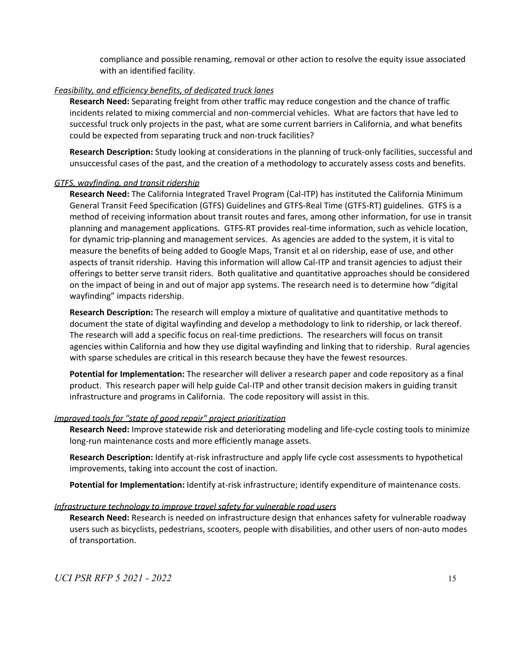compliance and possible renaming, removal or other action to resolve the equity issue associated with an identified facility.

#### *Feasibility, and efficiency benefits, of dedicated truck lanes*

**Research Need:** Separating freight from other traffic may reduce congestion and the chance of traffic incidents related to mixing commercial and non-commercial vehicles. What are factors that have led to successful truck only projects in the past, what are some current barriers in California, and what benefits could be expected from separating truck and non-truck facilities?

**Research Description:** Study looking at considerations in the planning of truck-only facilities, successful and unsuccessful cases of the past, and the creation of a methodology to accurately assess costs and benefits.

#### *GTFS, wayfinding, and transit ridership*

**Research Need:** The California Integrated Travel Program (Cal-ITP) has instituted the California Minimum General Transit Feed Specification (GTFS) Guidelines and GTFS-Real Time (GTFS-RT) guidelines. GTFS is a method of receiving information about transit routes and fares, among other information, for use in transit planning and management applications. GTFS-RT provides real-time information, such as vehicle location, for dynamic trip-planning and management services. As agencies are added to the system, it is vital to measure the benefits of being added to Google Maps, Transit et al on ridership, ease of use, and other aspects of transit ridership. Having this information will allow Cal-ITP and transit agencies to adjust their offerings to better serve transit riders. Both qualitative and quantitative approaches should be considered on the impact of being in and out of major app systems. The research need is to determine how "digital wayfinding" impacts ridership.

**Research Description:** The research will employ a mixture of qualitative and quantitative methods to document the state of digital wayfinding and develop a methodology to link to ridership, or lack thereof. The research will add a specific focus on real-time predictions. The researchers will focus on transit agencies within California and how they use digital wayfinding and linking that to ridership. Rural agencies with sparse schedules are critical in this research because they have the fewest resources.

**Potential for Implementation:** The researcher will deliver a research paper and code repository as a final product. This research paper will help guide Cal-ITP and other transit decision makers in guiding transit infrastructure and programs in California. The code repository will assist in this.

#### *Improved tools for "state of good repair" project prioritization*

**Research Need:** Improve statewide risk and deteriorating modeling and life-cycle costing tools to minimize long-run maintenance costs and more efficiently manage assets.

**Research Description:** Identify at-risk infrastructure and apply life cycle cost assessments to hypothetical improvements, taking into account the cost of inaction.

**Potential for Implementation:** Identify at-risk infrastructure; identify expenditure of maintenance costs.

#### *Infrastructure technology to improve travel safety for vulnerable road users*

**Research Need:** Research is needed on infrastructure design that enhances safety for vulnerable roadway users such as bicyclists, pedestrians, scooters, people with disabilities, and other users of non-auto modes of transportation.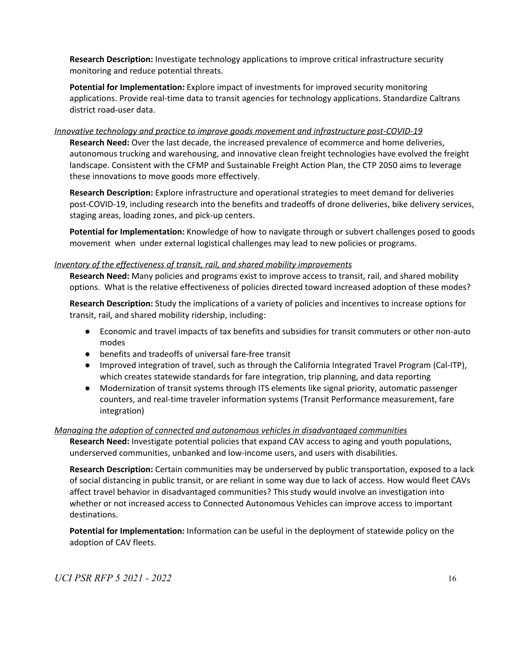**Research Description:** Investigate technology applications to improve critical infrastructure security monitoring and reduce potential threats.

**Potential for Implementation:** Explore impact of investments for improved security monitoring applications. Provide real-time data to transit agencies for technology applications. Standardize Caltrans district road-user data.

*Innovative technology and practice to improve goods movement and infrastructure post-COVID-19*

**Research Need:** Over the last decade, the increased prevalence of ecommerce and home deliveries, autonomous trucking and warehousing, and innovative clean freight technologies have evolved the freight landscape. Consistent with the CFMP and Sustainable Freight Action Plan, the CTP 2050 aims to leverage these innovations to move goods more effectively.

**Research Description:** Explore infrastructure and operational strategies to meet demand for deliveries post-COVID-19, including research into the benefits and tradeoffs of drone deliveries, bike delivery services, staging areas, loading zones, and pick-up centers.

**Potential for Implementation:** Knowledge of how to navigate through or subvert challenges posed to goods movement when under external logistical challenges may lead to new policies or programs.

#### *Inventory of the effectiveness of transit, rail, and shared mobility improvements*

**Research Need:** Many policies and programs exist to improve access to transit, rail, and shared mobility options. What is the relative effectiveness of policies directed toward increased adoption of these modes?

**Research Description:** Study the implications of a variety of policies and incentives to increase options for transit, rail, and shared mobility ridership, including:

- Economic and travel impacts of tax benefits and subsidies for transit commuters or other non-auto modes
- benefits and tradeoffs of universal fare-free transit
- Improved integration of travel, such as through the California Integrated Travel Program (Cal-ITP), which creates statewide standards for fare integration, trip planning, and data reporting
- Modernization of transit systems through ITS elements like signal priority, automatic passenger counters, and real-time traveler information systems (Transit Performance measurement, fare integration)

#### *Managing the adoption of connected and autonomous vehicles in disadvantaged communities*

**Research Need:** Investigate potential policies that expand CAV access to aging and youth populations, underserved communities, unbanked and low-income users, and users with disabilities.

**Research Description:** Certain communities may be underserved by public transportation, exposed to a lack of social distancing in public transit, or are reliant in some way due to lack of access. How would fleet CAVs affect travel behavior in disadvantaged communities? This study would involve an investigation into whether or not increased access to Connected Autonomous Vehicles can improve access to important destinations.

**Potential for Implementation:** Information can be useful in the deployment of statewide policy on the adoption of CAV fleets.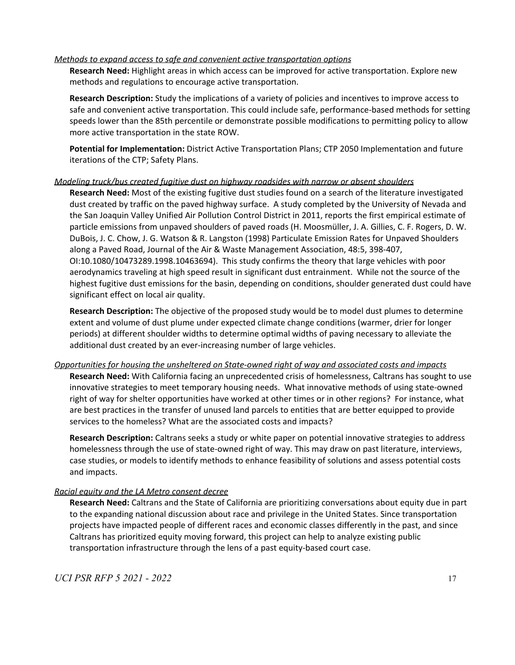#### *Methods to expand access to safe and convenient active transportation options*

**Research Need:** Highlight areas in which access can be improved for active transportation. Explore new methods and regulations to encourage active transportation.

**Research Description:** Study the implications of a variety of policies and incentives to improve access to safe and convenient active transportation. This could include safe, performance-based methods for setting speeds lower than the 85th percentile or demonstrate possible modifications to permitting policy to allow more active transportation in the state ROW.

**Potential for Implementation:** District Active Transportation Plans; CTP 2050 Implementation and future iterations of the CTP; Safety Plans.

#### *Modeling truck/bus created fugitive dust on highway roadsides with narrow or absent shoulders*

**Research Need:** Most of the existing fugitive dust studies found on a search of the literature investigated dust created by traffic on the paved highway surface. A study completed by the University of Nevada and the San Joaquin Valley Unified Air Pollution Control District in 2011, reports the first empirical estimate of particle emissions from unpaved shoulders of paved roads (H. Moosmüller, J. A. Gillies, C. F. Rogers, D. W. DuBois, J. C. Chow, J. G. Watson & R. Langston (1998) Particulate Emission Rates for Unpaved Shoulders along a Paved Road, Journal of the Air & Waste Management Association, 48:5, 398-407, OI:10.1080/10473289.1998.10463694). This study confirms the theory that large vehicles with poor aerodynamics traveling at high speed result in significant dust entrainment. While not the source of the highest fugitive dust emissions for the basin, depending on conditions, shoulder generated dust could have significant effect on local air quality.

**Research Description:** The objective of the proposed study would be to model dust plumes to determine extent and volume of dust plume under expected climate change conditions (warmer, drier for longer periods) at different shoulder widths to determine optimal widths of paving necessary to alleviate the additional dust created by an ever-increasing number of large vehicles.

#### *Opportunities for housing the unsheltered on State-owned right of way and associated costs and impacts*

**Research Need:** With California facing an unprecedented crisis of homelessness, Caltrans has sought to use innovative strategies to meet temporary housing needs. What innovative methods of using state-owned right of way for shelter opportunities have worked at other times or in other regions? For instance, what are best practices in the transfer of unused land parcels to entities that are better equipped to provide services to the homeless? What are the associated costs and impacts?

**Research Description:** Caltrans seeks a study or white paper on potential innovative strategies to address homelessness through the use of state-owned right of way. This may draw on past literature, interviews, case studies, or models to identify methods to enhance feasibility of solutions and assess potential costs and impacts.

#### *Racial equity and the LA Metro consent decree*

**Research Need:** Caltrans and the State of California are prioritizing conversations about equity due in part to the expanding national discussion about race and privilege in the United States. Since transportation projects have impacted people of different races and economic classes differently in the past, and since Caltrans has prioritized equity moving forward, this project can help to analyze existing public transportation infrastructure through the lens of a past equity-based court case.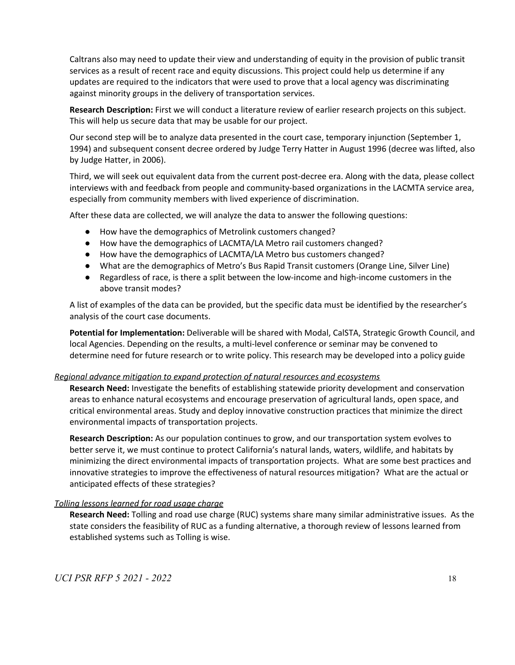Caltrans also may need to update their view and understanding of equity in the provision of public transit services as a result of recent race and equity discussions. This project could help us determine if any updates are required to the indicators that were used to prove that a local agency was discriminating against minority groups in the delivery of transportation services.

**Research Description:** First we will conduct a literature review of earlier research projects on this subject. This will help us secure data that may be usable for our project.

Our second step will be to analyze data presented in the court case, temporary injunction (September 1, 1994) and subsequent consent decree ordered by Judge Terry Hatter in August 1996 (decree was lifted, also by Judge Hatter, in 2006).

Third, we will seek out equivalent data from the current post-decree era. Along with the data, please collect interviews with and feedback from people and community-based organizations in the LACMTA service area, especially from community members with lived experience of discrimination.

After these data are collected, we will analyze the data to answer the following questions:

- How have the demographics of Metrolink customers changed?
- How have the demographics of LACMTA/LA Metro rail customers changed?
- How have the demographics of LACMTA/LA Metro bus customers changed?
- What are the demographics of Metro's Bus Rapid Transit customers (Orange Line, Silver Line)
- Regardless of race, is there a split between the low-income and high-income customers in the above transit modes?

A list of examples of the data can be provided, but the specific data must be identified by the researcher's analysis of the court case documents.

**Potential for Implementation:** Deliverable will be shared with Modal, CalSTA, Strategic Growth Council, and local Agencies. Depending on the results, a multi-level conference or seminar may be convened to determine need for future research or to write policy. This research may be developed into a policy guide

#### *Regional advance mitigation to expand protection of natural resources and ecosystems*

**Research Need:** Investigate the benefits of establishing statewide priority development and conservation areas to enhance natural ecosystems and encourage preservation of agricultural lands, open space, and critical environmental areas. Study and deploy innovative construction practices that minimize the direct environmental impacts of transportation projects.

**Research Description:** As our population continues to grow, and our transportation system evolves to better serve it, we must continue to protect California's natural lands, waters, wildlife, and habitats by minimizing the direct environmental impacts of transportation projects. What are some best practices and innovative strategies to improve the effectiveness of natural resources mitigation? What are the actual or anticipated effects of these strategies?

#### *Tolling lessons learned for road usage charge*

**Research Need:** Tolling and road use charge (RUC) systems share many similar administrative issues. As the state considers the feasibility of RUC as a funding alternative, a thorough review of lessons learned from established systems such as Tolling is wise.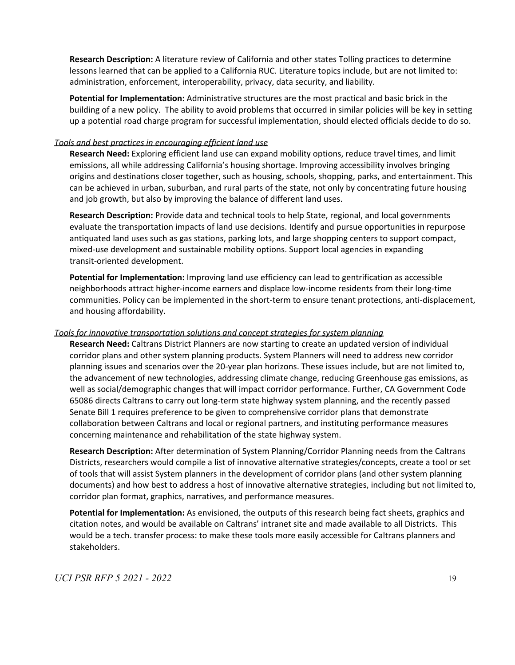**Research Description:** A literature review of California and other states Tolling practices to determine lessons learned that can be applied to a California RUC. Literature topics include, but are not limited to: administration, enforcement, interoperability, privacy, data security, and liability.

**Potential for Implementation:** Administrative structures are the most practical and basic brick in the building of a new policy. The ability to avoid problems that occurred in similar policies will be key in setting up a potential road charge program for successful implementation, should elected officials decide to do so.

#### *Tools and best practices in encouraging efficient land use*

**Research Need:** Exploring efficient land use can expand mobility options, reduce travel times, and limit emissions, all while addressing California's housing shortage. Improving accessibility involves bringing origins and destinations closer together, such as housing, schools, shopping, parks, and entertainment. This can be achieved in urban, suburban, and rural parts of the state, not only by concentrating future housing and job growth, but also by improving the balance of different land uses.

**Research Description:** Provide data and technical tools to help State, regional, and local governments evaluate the transportation impacts of land use decisions. Identify and pursue opportunities in repurpose antiquated land uses such as gas stations, parking lots, and large shopping centers to support compact, mixed-use development and sustainable mobility options. Support local agencies in expanding transit-oriented development.

**Potential for Implementation:** Improving land use efficiency can lead to gentrification as accessible neighborhoods attract higher-income earners and displace low-income residents from their long-time communities. Policy can be implemented in the short-term to ensure tenant protections, anti-displacement, and housing affordability.

#### *Tools for innovative transportation solutions and concept strategies for system planning*

**Research Need:** Caltrans District Planners are now starting to create an updated version of individual corridor plans and other system planning products. System Planners will need to address new corridor planning issues and scenarios over the 20-year plan horizons. These issues include, but are not limited to, the advancement of new technologies, addressing climate change, reducing Greenhouse gas emissions, as well as social/demographic changes that will impact corridor performance. Further, CA Government Code 65086 directs Caltrans to carry out long-term state highway system planning, and the recently passed Senate Bill 1 requires preference to be given to comprehensive corridor plans that demonstrate collaboration between Caltrans and local or regional partners, and instituting performance measures concerning maintenance and rehabilitation of the state highway system.

**Research Description:** After determination of System Planning/Corridor Planning needs from the Caltrans Districts, researchers would compile a list of innovative alternative strategies/concepts, create a tool or set of tools that will assist System planners in the development of corridor plans (and other system planning documents) and how best to address a host of innovative alternative strategies, including but not limited to, corridor plan format, graphics, narratives, and performance measures.

**Potential for Implementation:** As envisioned, the outputs of this research being fact sheets, graphics and citation notes, and would be available on Caltrans' intranet site and made available to all Districts. This would be a tech. transfer process: to make these tools more easily accessible for Caltrans planners and stakeholders.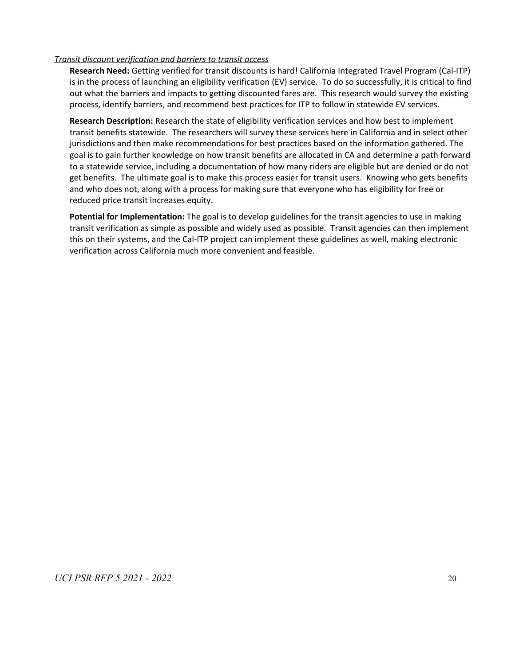#### *Transit discount verification and barriers to transit access*

**Research Need:** Getting verified for transit discounts is hard! California Integrated Travel Program (Cal-ITP) is in the process of launching an eligibility verification (EV) service. To do so successfully, it is critical to find out what the barriers and impacts to getting discounted fares are. This research would survey the existing process, identify barriers, and recommend best practices for ITP to follow in statewide EV services.

**Research Description:** Research the state of eligibility verification services and how best to implement transit benefits statewide. The researchers will survey these services here in California and in select other jurisdictions and then make recommendations for best practices based on the information gathered. The goal is to gain further knowledge on how transit benefits are allocated in CA and determine a path forward to a statewide service, including a documentation of how many riders are eligible but are denied or do not get benefits. The ultimate goal is to make this process easier for transit users. Knowing who gets benefits and who does not, along with a process for making sure that everyone who has eligibility for free or reduced price transit increases equity.

**Potential for Implementation:** The goal is to develop guidelines for the transit agencies to use in making transit verification as simple as possible and widely used as possible. Transit agencies can then implement this on their systems, and the Cal-ITP project can implement these guidelines as well, making electronic verification across California much more convenient and feasible.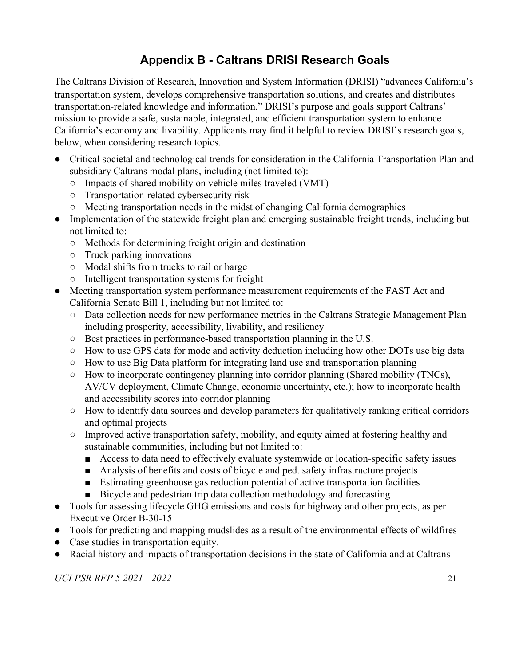## **Appendix B - Caltrans DRISI Research Goals**

<span id="page-21-0"></span>The Caltrans Division of Research, Innovation and System Information (DRISI) "advances California's transportation system, develops comprehensive transportation solutions, and creates and distributes transportation-related knowledge and information." DRISI's purpose and goals support Caltrans' mission to provide a safe, sustainable, integrated, and efficient transportation system to enhance California's economy and livability. Applicants may find it helpful to review DRISI's research goals, below, when considering research topics.

- Critical societal and technological trends for consideration in the California Transportation Plan and subsidiary Caltrans modal plans, including (not limited to):
	- Impacts of shared mobility on vehicle miles traveled (VMT)
	- Transportation-related cybersecurity risk
	- Meeting transportation needs in the midst of changing California demographics
- Implementation of the statewide freight plan and emerging sustainable freight trends, including but not limited to:
	- Methods for determining freight origin and destination
	- Truck parking innovations
	- Modal shifts from trucks to rail or barge
	- Intelligent transportation systems for freight
- Meeting transportation system performance measurement requirements of the FAST Act and California Senate Bill 1, including but not limited to:
	- Data collection needs for new performance metrics in the Caltrans Strategic Management Plan including prosperity, accessibility, livability, and resiliency
	- Best practices in performance-based transportation planning in the U.S.
	- How to use GPS data for mode and activity deduction including how other DOTs use big data
	- How to use Big Data platform for integrating land use and transportation planning
	- How to incorporate contingency planning into corridor planning (Shared mobility (TNCs), AV/CV deployment, Climate Change, economic uncertainty, etc.); how to incorporate health and accessibility scores into corridor planning
	- How to identify data sources and develop parameters for qualitatively ranking critical corridors and optimal projects
	- Improved active transportation safety, mobility, and equity aimed at fostering healthy and sustainable communities, including but not limited to:
		- Access to data need to effectively evaluate systemwide or location-specific safety issues
		- Analysis of benefits and costs of bicycle and ped. safety infrastructure projects
		- Estimating greenhouse gas reduction potential of active transportation facilities
		- Bicycle and pedestrian trip data collection methodology and forecasting
- Tools for assessing lifecycle GHG emissions and costs for highway and other projects, as per Executive Order B-30-15
- Tools for predicting and mapping mudslides as a result of the environmental effects of wildfires
- Case studies in transportation equity.
- Racial history and impacts of transportation decisions in the state of California and at Caltrans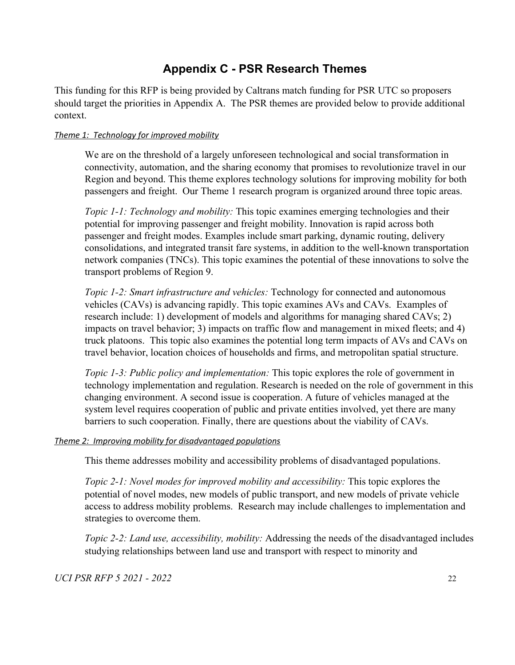## **Appendix C - PSR Research Themes**

<span id="page-22-0"></span>This funding for this RFP is being provided by Caltrans match funding for PSR UTC so proposers should target the priorities in Appendix A. The PSR themes are provided below to provide additional context.

#### *Theme 1: Technology for improved mobility*

We are on the threshold of a largely unforeseen technological and social transformation in connectivity, automation, and the sharing economy that promises to revolutionize travel in our Region and beyond. This theme explores technology solutions for improving mobility for both passengers and freight. Our Theme 1 research program is organized around three topic areas.

*Topic 1-1: Technology and mobility:* This topic examines emerging technologies and their potential for improving passenger and freight mobility. Innovation is rapid across both passenger and freight modes. Examples include smart parking, dynamic routing, delivery consolidations, and integrated transit fare systems, in addition to the well-known transportation network companies (TNCs). This topic examines the potential of these innovations to solve the transport problems of Region 9.

*Topic 1-2: Smart infrastructure and vehicles:* Technology for connected and autonomous vehicles (CAVs) is advancing rapidly. This topic examines AVs and CAVs. Examples of research include: 1) development of models and algorithms for managing shared CAVs; 2) impacts on travel behavior; 3) impacts on traffic flow and management in mixed fleets; and 4) truck platoons. This topic also examines the potential long term impacts of AVs and CAVs on travel behavior, location choices of households and firms, and metropolitan spatial structure.

*Topic 1-3: Public policy and implementation:* This topic explores the role of government in technology implementation and regulation. Research is needed on the role of government in this changing environment. A second issue is cooperation. A future of vehicles managed at the system level requires cooperation of public and private entities involved, yet there are many barriers to such cooperation. Finally, there are questions about the viability of CAVs.

#### *Theme 2: Improving mobility for disadvantaged populations*

This theme addresses mobility and accessibility problems of disadvantaged populations.

*Topic 2-1: Novel modes for improved mobility and accessibility: This topic explores the* potential of novel modes, new models of public transport, and new models of private vehicle access to address mobility problems. Research may include challenges to implementation and strategies to overcome them.

*Topic 2-2: Land use, accessibility, mobility:* Addressing the needs of the disadvantaged includes studying relationships between land use and transport with respect to minority and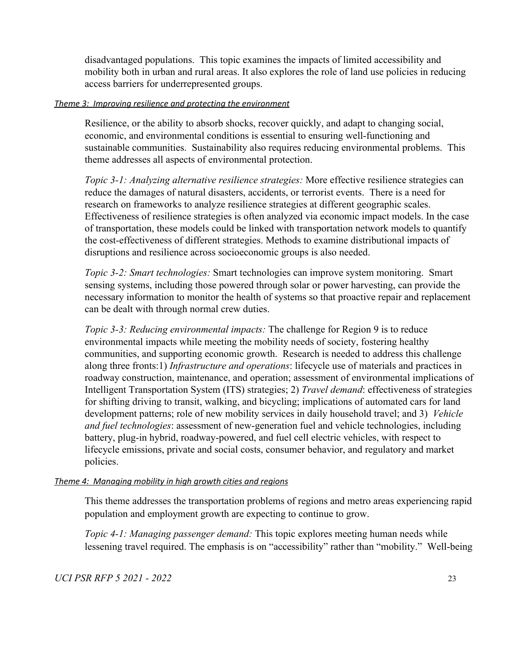disadvantaged populations. This topic examines the impacts of limited accessibility and mobility both in urban and rural areas. It also explores the role of land use policies in reducing access barriers for underrepresented groups.

#### *Theme 3: Improving resilience and protecting the environment*

Resilience, or the ability to absorb shocks, recover quickly, and adapt to changing social, economic, and environmental conditions is essential to ensuring well-functioning and sustainable communities. Sustainability also requires reducing environmental problems. This theme addresses all aspects of environmental protection.

*Topic 3-1: Analyzing alternative resilience strategies:* More effective resilience strategies can reduce the damages of natural disasters, accidents, or terrorist events. There is a need for research on frameworks to analyze resilience strategies at different geographic scales. Effectiveness of resilience strategies is often analyzed via economic impact models. In the case of transportation, these models could be linked with transportation network models to quantify the cost-effectiveness of different strategies. Methods to examine distributional impacts of disruptions and resilience across socioeconomic groups is also needed.

*Topic 3-2: Smart technologies:* Smart technologies can improve system monitoring. Smart sensing systems, including those powered through solar or power harvesting, can provide the necessary information to monitor the health of systems so that proactive repair and replacement can be dealt with through normal crew duties.

*Topic 3-3: Reducing environmental impacts:* The challenge for Region 9 is to reduce environmental impacts while meeting the mobility needs of society, fostering healthy communities, and supporting economic growth. Research is needed to address this challenge along three fronts:1) *Infrastructure and operations*: lifecycle use of materials and practices in roadway construction, maintenance, and operation; assessment of environmental implications of Intelligent Transportation System (ITS) strategies; 2) *Travel demand*: effectiveness of strategies for shifting driving to transit, walking, and bicycling; implications of automated cars for land development patterns; role of new mobility services in daily household travel; and 3) *Vehicle and fuel technologies*: assessment of new-generation fuel and vehicle technologies, including battery, plug-in hybrid, roadway-powered, and fuel cell electric vehicles, with respect to lifecycle emissions, private and social costs, consumer behavior, and regulatory and market policies.

#### *Theme 4: Managing mobility in high growth cities and regions*

This theme addresses the transportation problems of regions and metro areas experiencing rapid population and employment growth are expecting to continue to grow.

*Topic 4-1: Managing passenger demand:* This topic explores meeting human needs while lessening travel required. The emphasis is on "accessibility" rather than "mobility." Well-being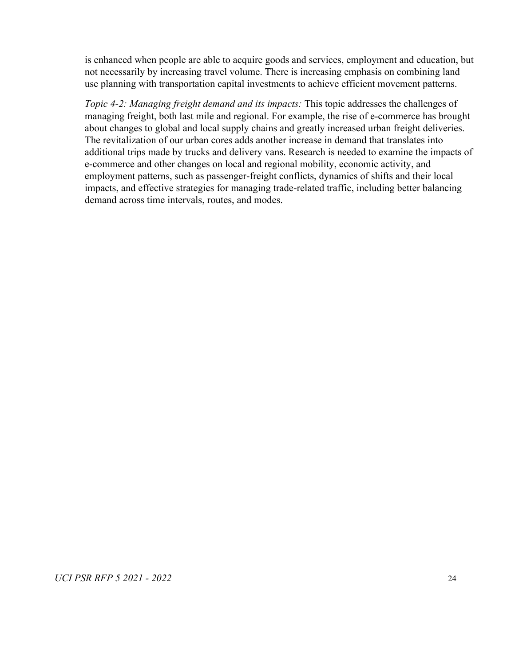is enhanced when people are able to acquire goods and services, employment and education, but not necessarily by increasing travel volume. There is increasing emphasis on combining land use planning with transportation capital investments to achieve efficient movement patterns.

*Topic 4-2: Managing freight demand and its impacts:* This topic addresses the challenges of managing freight, both last mile and regional. For example, the rise of e-commerce has brought about changes to global and local supply chains and greatly increased urban freight deliveries. The revitalization of our urban cores adds another increase in demand that translates into additional trips made by trucks and delivery vans. Research is needed to examine the impacts of e-commerce and other changes on local and regional mobility, economic activity, and employment patterns, such as passenger-freight conflicts, dynamics of shifts and their local impacts, and effective strategies for managing trade-related traffic, including better balancing demand across time intervals, routes, and modes.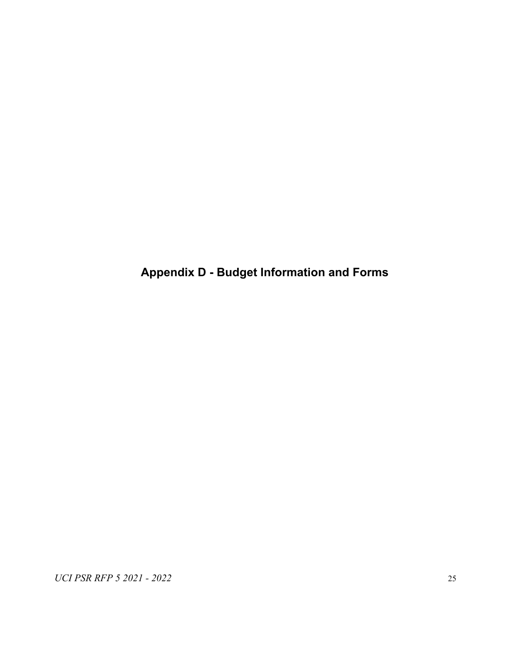<span id="page-25-0"></span>**Appendix D - Budget Information and Forms**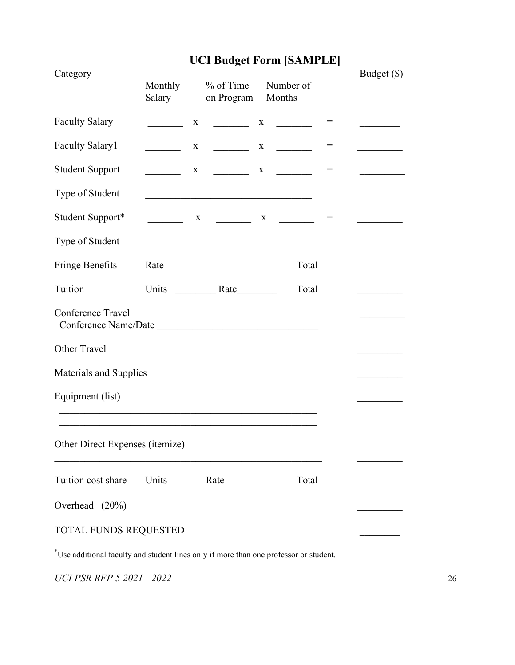# **UCI Budget Form [SAMPLE]**

| Category                                  | Monthly<br>Salary            | $%$ of Time<br>on Program                                                                                             | Number of<br>Months                                        |     | Budget (\$) |
|-------------------------------------------|------------------------------|-----------------------------------------------------------------------------------------------------------------------|------------------------------------------------------------|-----|-------------|
| <b>Faculty Salary</b>                     | $\mathbf X$                  |                                                                                                                       |                                                            | $=$ |             |
| <b>Faculty Salary1</b>                    | $\mathbf{X}$                 | $\mathcal{L}(\mathcal{L})$ . The set of $\mathcal{L}(\mathcal{L})$                                                    | $X \qquad \qquad$                                          | $=$ |             |
| <b>Student Support</b>                    |                              | $X \qquad \qquad$                                                                                                     | $\mathbf{X}$ and $\mathbf{X}$                              | $=$ |             |
| Type of Student                           |                              | <u> 1989 - Johann Barn, mars ann an t-Amhain an t-Amhain an t-Amhain an t-Amhain an t-Amhain an t-Amhain an t-Amh</u> |                                                            |     |             |
| Student Support*                          |                              |                                                                                                                       | $\begin{array}{ccccccccccccc} & & & & & & & & \end{array}$ | $=$ |             |
| Type of Student                           |                              |                                                                                                                       |                                                            |     |             |
| Fringe Benefits                           | Rate<br><u>and the state</u> |                                                                                                                       | Total                                                      |     |             |
| Tuition                                   |                              |                                                                                                                       | Total                                                      |     |             |
| Conference Travel<br>Conference Name/Date |                              |                                                                                                                       |                                                            |     |             |
| Other Travel                              |                              |                                                                                                                       |                                                            |     |             |
| Materials and Supplies                    |                              |                                                                                                                       |                                                            |     |             |
| Equipment (list)                          |                              |                                                                                                                       |                                                            |     |             |
|                                           |                              |                                                                                                                       |                                                            |     |             |
| Other Direct Expenses (itemize)           |                              |                                                                                                                       |                                                            |     |             |
| Tuition cost share                        |                              |                                                                                                                       | Total                                                      |     |             |
| Overhead (20%)                            |                              |                                                                                                                       |                                                            |     |             |
| TOTAL FUNDS REQUESTED                     |                              |                                                                                                                       |                                                            |     |             |

\*Use additional faculty and student lines only if more than one professor or student.